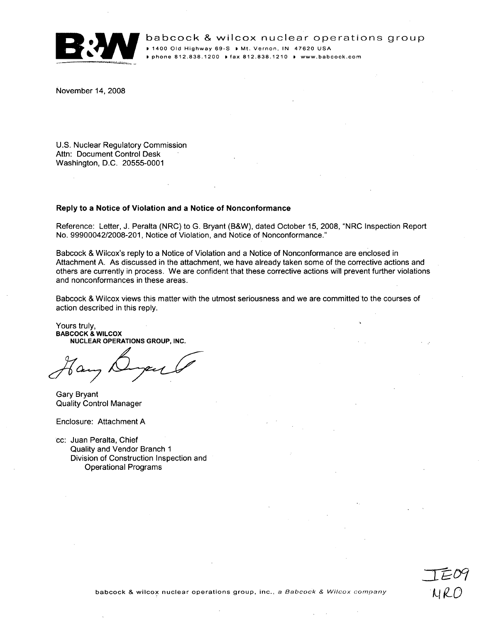

babcock & wilcox nuclear operations group babcock & wilcox nuclear operations group **<sup>P</sup>**1400 **Old** Highway **69-S P** Mt. Vernon, **IN** 47620 **USA** D phone **812.838.1200 Ie** fax **812.838.1210 \*** www.babcock.com

November 14, 2008

U.S. Nuclear Regulatory Commission Attn: Document Control Desk Washington, D.C. 20555-0001

## Reply to a Notice of Violation and a Notice of Nonconformance

Reference: Letter, J. Peralta (NRC) to G. Bryant (B&W), dated October 15, 2008, "NRC Inspection Report No. 99900042/2008-201, Notice of Violation, and Notice of Nonconformance."

Babcock & Wilcox's reply to a Notice of Violation and a Notice of Nonconformance are enclosed in Attachment A. As discussed in the attachment, we have already taken some of the corrective actions and others are currently in process. We are confident that these corrective actions will prevent further violations and nonconformances in these areas.

Babcock & Wilcox views this matter with the utmost seriousness and we are committed'to the courses of action described in this reply.

Yours truly, BABCOCK **&** WILCOX **NUCLEAR OPERATIONS** GROUP, **INC.**

Gary Bryant Quality Control Manager

Enclosure: Attachment A

cc: Juan Peralta, Chief Quality and Vendor Branch **I** Division of Construction Inspection and Operational Programs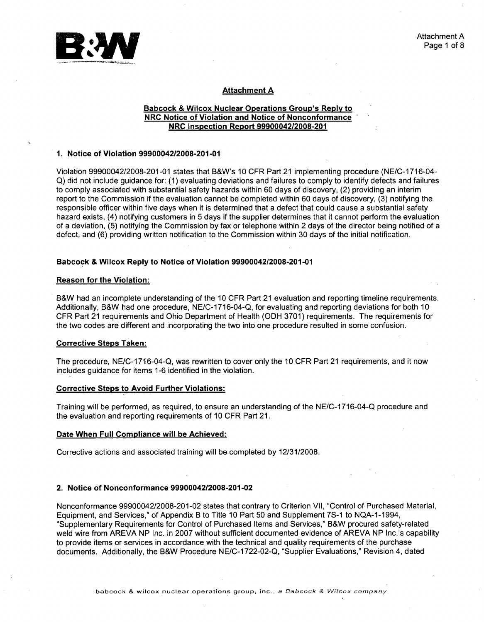

# Attachment **A**

# Babcock **&** Wilcox Nuclear Operations Group's Reply to NRC Notice of Violation and Notice of Nonconformance NRC Inspection Report **99900042/2008-201**

## **1.** Notice of Violation **99900042/2008-201-01**

Violation 99900042/2008-201-01 states that B&W's 10 CFR Part 21 implementing procedure (NE/C-1716-04-Q) did not include guidance for: (1) evaluating deviations and failures to comply to identify defects and failures to comply associated with substantial safety hazards within 60 days of discovery, (2) providing an interim report to the Commission if the evaluation cannot be completed within 60 days of discovery, (3) notifying the responsible officer within five days when it is determined that a defect that could cause a substantial safety hazard exists, (4) notifying customers in 5 days if the supplier determines that it cannot perform the evaluation of a deviation, (5) notifying the Commission by fax or telephone Within 2 days of the director being notified of a defect, and (6) providing written notification to the Commission within 30 days of the initial notification.

## Babcock **&** Wilcox Reply to Notice of Violation **99900042/2008-201-01**

# Reason for the Violation:

B&W had an incomplete understanding of the **10** CFR Part 21 evaluation and reporting timeline requirements. Additionally, B&W had one procedure, NE/C-1716-04-Q, for evaluating and reporting deviations for both 10 CFR Part 21 requirements and Ohio Department of Health (ODH 3701) requirements. The requirements for the two codes are different and incorporating the two into one procedure resulted in some confusion.

# Corrective Steps Taken:

The procedure, NE/C-1716-04-Q, was rewritten to cover only the 10 CFR Part 21 requirements, and it now includes guidance for items 1-6 identified in the violation.

# Corrective Steps to Avoid Further Violations:

Training will be performed, as required, to ensure an understanding of the NE/C-1716-04-Q procedure and the evaluation and reporting requirements of 10 CFR Part 21.

# Date When Full Compliance will be Achieved:

Corrective actions and associated training will be completed by 12/31/2008.

# 2. Notice of Nonconformance **99900042/2008-201-02**

Nonconformance 99900042/2008-201-02 states that contrary to Criterion VII, "Control of Purchased Material, Equipment, and Services," of Appendix B to Title 10 Part 50 and Supplement 7S-1 to NQA-1-1994, "Supplementary Requirements for Control of Purchased Items and Services," B&W procured safety-related weld wire from AREVA NP Inc. in 2007 without sufficient documented evidence of AREVA NP Inc.'s capability to provide items or services in accordance with the technical and quality requirements of the purchase documents. Additionally, the B&W Procedure NE/C-1722-02-Q, "Supplier Evaluations," Revision 4, dated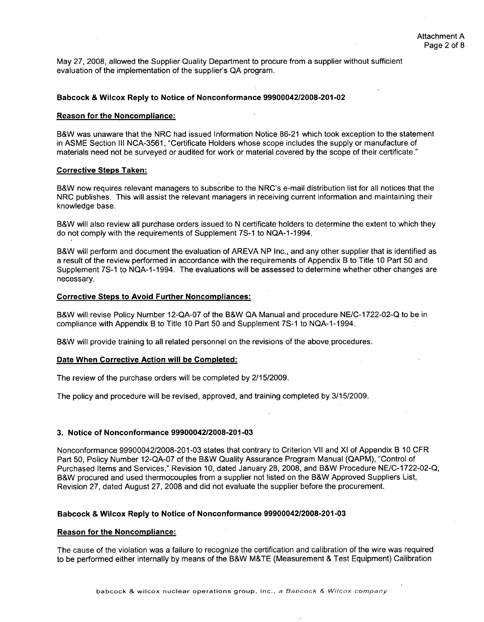May 27, 2008, allowed the Supplier Quality Department to procure from a supplier without sufficient evaluation of the implementation of the supplier's QA program.

## Babcock **&** Wilcox Reply to Notice of Nonconformance **99900042/2008-201-02**

## Reason for the Noncompliance:

B&W was unaware that the NRC had issued Information Notice 86-21 which took exception to the statement in ASME Section III NCA-3561, "Certificate Holders whose scope includes the supply or manufacture of materials need not be surveyed or audited for work or material covered by the scope of their certificate."

#### Corrective Steps Taken:

B&W now requires relevant managers to subscribe to the NRC's e-mail distribution list for all notices that the NRC publishes. This will assist the relevant managers in receiving current information and maintaining their knowledge base.

B&W will also review all purchase orders issued to N certificate holders to determine the extent to which they do not comply with the requirements of Supplement 7S-1 to NQA-1-1994.

B&W will perform and document the evaluation of AREVA NP Inc., and any other supplier that is identified as a result of the review performed in accordance with the requirements of Appendix B to Title 10 Part 50 and Supplement 7S-1 to NQA-1-1994. The evaluations will be assessed to determine whether other changes are necessary.

# Corrective Steps to Avoid Further Noncompliances:

B&W will revise Policy Number **12-QA-07** of the B&W **QA** Manual and procedure NE/C-1 722-02-Q to be in compliance with Appendix B to Title **10** Part **50** and Supplement **7S-1** to **NQA-1-1994.**

B&W will provide training to all related personnel on the revisions of the above. procedures.

## Date When Corrective Action will be Completed:

The review of the purchase orders will be completed by 2/15/2009.

The policy and procedure will be revised,.approved, and training completed by 3/15/2009.

# **3.** Notice of Nonconformance **9990004212008-201-03**

Nonconformance 99900042/2008-201-03 states that contrary to Criterion VII and XI of Appendix B 10 CFR Part 50, Policy Number 12-QA-07 of the B&W Quality Assurance Program Manual (QAPM), "Control of Purchased Items and Services," Revision 10, dated January 28, 2008, and B&W Procedure NE/C-1722-02-Q, B&W procured and used thermocouples from a supplier not listed on the B&W Approved Suppliers List, Revision 27, dated August 27, 2008 and did not evaluate the supplier before the procurement.

## Babcock **&** Wilcox Reply to Notice of Nonconformance **9990004212008-201-03**

## Reason for the Noncompliance:

The cause of the violation was a failure to recognize the certification and calibration of the wire was required to be performed either internally by means of the B&W M&TE (Measurement & Test Equipment) Calibration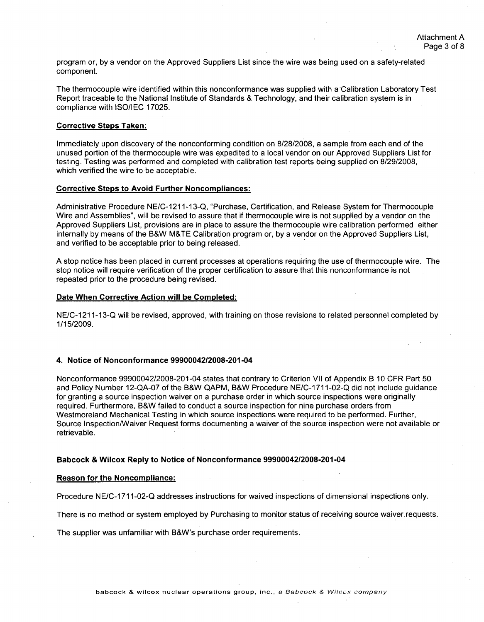program or, by a vendor on the Approved Suppliers List since the wire was being used on a safety-related component.

The thermocouple wire identified within this nonconformance was supplied with a Calibration Laboratory Test Report traceable to the National Institute of Standards & Technology, and their calibration system is in compliance with **ISO/IEC** 17025.

# Corrective Steps Taken:

Immediately upon discovery of the nonconforming condition on 8/28/2008, a sample from each end of the unused portion of the thermocouple wire was expedited to a local vendor on our Approved Suppliers List for testing. Testing was performed and completed with calibration test reports being supplied on 8/29/2008, which verified the wire to be acceptable.

## Corrective Steps to Avoid Further Noncompliances:

Administrative Procedure NE/C-1211-13-Q, "Purchase, Certification, and Release System for Thermocouple Wire and Assemblies", will be revised to assure that if thermocouple wire is not supplied by a vendor on the Approved Suppliers List, provisions are in place to assure the thermocouple wire calibration performed either internally by means of the B&W M&TE Calibration program or, by a vendor on the Approved Suppliers List, and verified to be acceptable prior to being released.

A stop notice has been placed in current processes at operations requiring the use of thermocouple wire. The stop notice will require verification of the proper certification to assure that this nonconformance is not repeated prior to the procedure being revised.

# Date When Corrective Action will be Completed:

NE/C-1211-13-Q will be revised, approved, with training on those revisions to related personnel completed by 1/15/2009.

## 4. Notice of Nonconformance 99900042/2008-201-04

Nonconformance 99900042/2008-201-04 states that contrary to Criterion VII of Appendix B 10 CFR Part 50 and Policy Number 12-QA-07 of the B&W QAPM, B&W Procedure NE/C-1711-02-Q did not include guidance for granting a source inspection waiver on a purchase order in which source inspections were originally required. Furthermore, B&W failed to conduct a source inspection for nine purchase orders from Westmoreland Mechanical Testing in which source inspections were required to be performed. Further, Source Inspection/Waiver Request forms documenting a waiver of the source inspection were not available or retrievable.

## Babcock **&** Wilcox Reply to Notice of Nonconformance 99900042/2008-201-04

## Reason for the Noncompliance:

Procedure NE/C-1 711-02-Q addresses instructions for waived inspections of dimensional inspections only.

There is no method or system employed by Purchasing to monitor status of receiving source waiver requests.

The supplier was unfamiliar with B&W's purchase order requirements.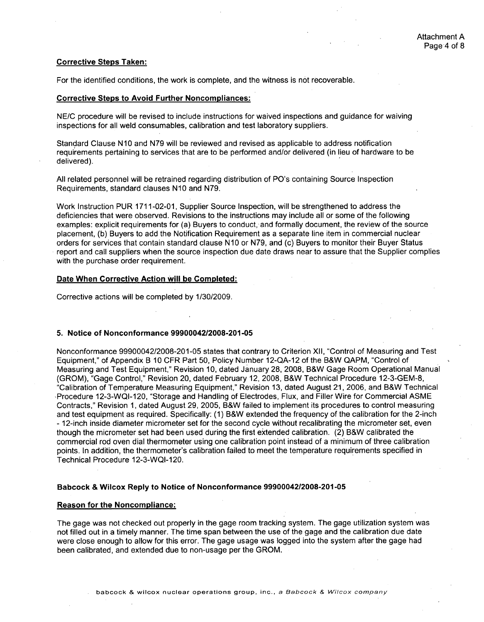## Corrective Steps Taken:

For the identified conditions, the work is complete, and the witness is not recoverable.

## Corrective Steps to Avoid Further Noncompliances:

NE/C procedure will be revised to include instructions for waived inspections and guidance for waiving inspections for all weld consumables, calibration and test laboratory suppliers.

Standard Clause N **10** and N79 will be reviewed and revised as applicable to address notification requirements pertaining to services that are to be performed and/or delivered (in lieu of hardware to be delivered).

All related personnel will be retrained regarding distribution of PO's containing Source Inspection Requirements, standard clauses **N10** and N79.

Work Instruction PUR 1711-02-01, Supplier Source Inspection, will be strengthened to address the deficiencies that were observed. Revisions to the instructions may include all or some of the following examples: explicit requirements for (a) Buyers to conduct, and formally document, the review of the source placement, (b) Buyers to add the Notification Requirement as a separate line item in commercial nuclear orders for services that contain standard clause N **10** or N79, and (c) Buyers to monitor their Buyer Status report and call suppliers when the source inspection due date draws near to assure that the Supplier complies with the purchase order requirement.

# Date When Corrective Action will be Completed:

Corrective actions will be completed by 1/30/2009.

## **5.** Notice of Nonconformance **9990004212008-201-05**

Nonconformance 99900042/2008-201-05 states that contrary to Criterion XII, "Control of Measuring and Test Equipment," of Appendix B 10 CFR Part 50, Policy Number 12-QA-12 of the B&W QAPM, "Control of Measuring and Test Equipment," Revision 10, dated January 28, 2008, B&W Gage Room Operational Manual (GROM), "Gage Control," Revision 20, dated February 12, 2008, B&W Technical Procedure 12-3-GEM-8, "Calibration of Temperature Measuring Equipment," Revision 13, dated August 21, 2006, and B&W Technical ,Procedure 12-3-WQI-120, "Storage and Handling of Electrodes, Flux, and Filler Wire for Commercial ASME Contracts," Revision 1, dated August 29, 2005, B&W failed to implement its procedures to control measuring and test equipment as required. Specifically: (1) B&W extended the frequency of the calibration for the 2-inch - 12-inch inside diameter micrometer set for the second cycle without recalibrating the micrometer set, even though the micrometer set had been used during the first extended calibration. (2) B&W calibrated the commercial rod oven dial thermometer using one calibration point instead of a minimum of three calibration points. In addition, the thermometer's calibration failed to meet the temperature requirements specified in Technical Procedure 12-3-WQI-120.

# Babcock **&** Wilcox Reply to Notice of Nonconformance **99900042/2008-201-05**

# Reason for the Noncompliance:

The gage was not checked out properly in the gage room tracking system. The gage utilization system was not filled out in a timely manner. The time span between the use of the gage and the calibration due date were close enough to allow for this error. The gage usage was logged into the system after the gage had been calibrated, and extended due to non-usage per the GROM.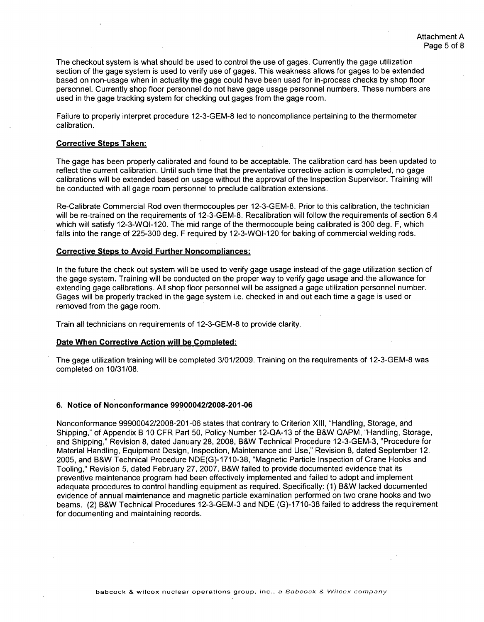The checkout system is what should be used to control the use of gages. Currently the gage utilization section of the gage system is used to verify use of gages. This weakness allows for gages to be extended based on non-usage when in actuality the gage could have been used for in-process checks by shop floor personnel. Currently shop floor personnel do not have gage usage personnel numbers. These numbers are used in the gage tracking system for checking out gages from the gage room.

Failure to properly interpret procedure 12-3-GEM-8 led to noncompliance pertaining to the thermometer calibration.

## Corrective Steps Taken:

The gage has been properly calibrated and found to be acceptable. The calibration card has been updated to reflect the current calibration. Until such time that the preventative corrective action is completed, no gage calibrations will be extended based on usage without the approval of the Inspection Supervisor. Training will be conducted with all gage room personnel to preclude calibration extensions.

Re-Calibrate Commercial Rod oven thermocouples per 12-3-GEM-8. Prior to this calibration, the technician will be re-trained on the requirements of 12-3-GEM-8. Recalibration will follow the requirements of section 6.4 which will satisfy 12-3-WQI-120. The mid range of the thermocouple being calibrated is 300 deg. F, which falls into the range of 225-300 deg. F required by 12-3-WQI-120 for baking of commercial welding rods.

#### Corrective Steps to Avoid Further Noncompliances:

In the future the check out system will be used to verify gage usage instead of the gage utilization section of the gage system. Training will be conducted on the proper way to verify gage usage and the allowance for extending gage calibrations. All shop floor personnel will be assigned a gage utilization personnel number. Gages will be properly tracked in the gage system i.e. checked in and out each time a gage is used or removed from the gage room.

Train all technicians on requirements of 12-3-GEM-8 to provide clarity.

#### Date When Corrective Action will be Completed:

The gage utilization training will be completed 3/01/2009. Training on the requirements of 12-3-GEM-8 was completed on 10/31/08.

#### **6.** Notice of Nonconformance **9990004212008-201-06**

Nonconformance 99900042/2008-201-06 states that contrary to Criterion XIII, "Handling, Storage, and Shipping," of Appendix B 10 CFR Part 50, Policy Number 12-QA-13 of the B&W QAPM, "Handling, Storage, and Shipping," Revision 8, dated January 28, 2008, B&W Technical Procedure 12-3-GEM-3, "Procedure for Material Handling, Equipment Design, Inspection, Maintenance and Use," Revision 8, dated September 12, 2005, and B&W Technical Procedure NDE(G)-1710-38, "Magnetic Particle Inspection of Crane Hooks and Tooling," Revision 5, dated February 27, 2007, B&W failed to provide documented evidence that its preventive maintenance program had been effectively implemented and failed to adopt and implement adequate procedures to control handling equipment as required. Specifically: (1) B&W lacked documented evidence of annual maintenance and magnetic particle examination performed on two crane hooks and two beams. (2) B&W Technical Procedures 12-3-GEM-3 and NDE (G)-1710-38 failed to address the requirement for documenting and maintaining records.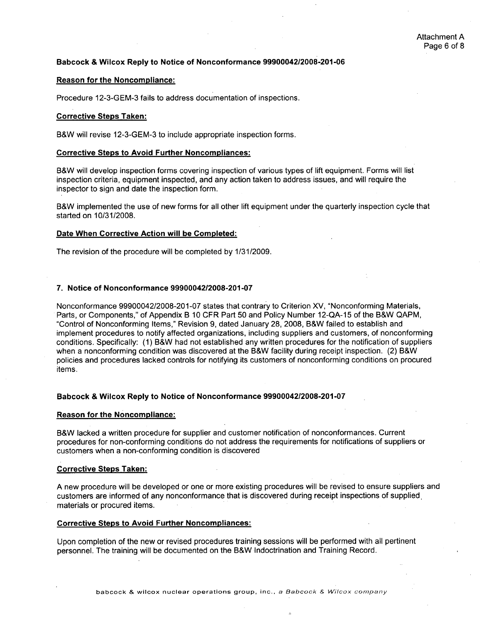# Babcock & Wilcox Reply to Notice of Nonconformance **99900042/2008-201-06**

## Reason for the Noncompliance:

Procedure 12-3-GEM-3 fails to address documentation of inspections.

## Corrective Steps Taken:

B&W will revise 12-3-GEM-3 to include appropriate inspection forms.

### Corrective Steps to Avoid Further Noncompliances:

B&W will develop inspection forms covering inspection of various types of lift equipment. Forms will list inspection criteria, equipment inspected, and any action taken to address issues, and will require the inspector to sign and date the inspection form.

B&W implemented the use of new forms for all other lift equipment under the quarterly inspection cycle that started on 10/31/2008.

## Date When Corrective Action will be Completed:

The revision of the procedure will be completed by 1/31/2009.

## 7. Notice of Nonconformance **99900042/2008-201-07**

Nonconformance 99900042/2008-201-07 states that contrary to Criterion XV, "Nonconforming Materials, Parts, or Components," of Appendix B 10 CFR Part 50 and Policy Number 12-QA-15 of the B&W QAPM, "Control of Nonconforming Items," Revision 9, dated January 28, 2008, B&W failed to establish and implement procedures to notify affected organizations, including suppliers and customers, of nonconforming conditions. Specifically: (1) B&W had not established any written procedures for the notification of suppliers when a nonconforming condition was discovered at the B&W facility during receipt inspection. (2) B&W policies and procedures lacked controls for notifying its customers of nonconforming conditions on procured items.

#### Babcock **&** Wilcox Reply to Notice of Nonconformance **99900042/2008-201-07**

## Reason for the Noncompliance:

B&W lacked a written procedure for supplier and customer notification of nonconformances. Current procedures for non-conforming conditions do not address the requirements for notifications of suppliers or customers when a non-conforming condition is discovered

#### Corrective Steps Taken:

**A** new procedure will be developed or one or more existing procedures will be revised to ensure suppliers and customers are informed of any nonconformance that is discovered during receipt inspections of supplied, materials or procured items.

## Corrective Steps to Avoid Further Noncompliances:

Upon completion of the new or revised procedures training sessions will be performed with all pertinent personnel. The training will be documented on the B&W Indoctrination and Training Record.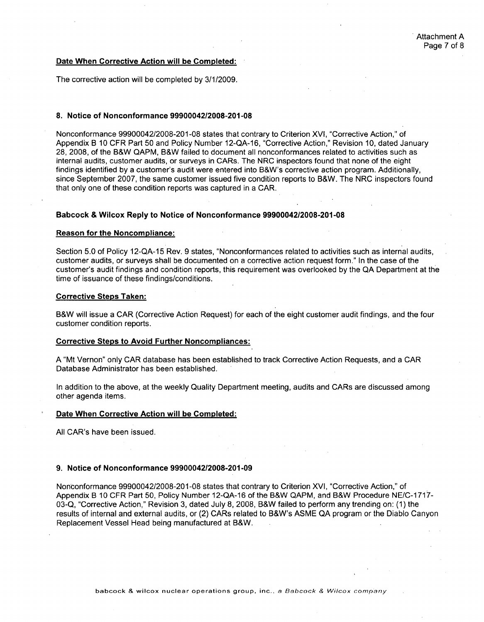## Date When Corrective Action will be Completed:

The corrective action will be completed by 3/1/2009.

### **8.** Notice of Nonconformance **99900042/2008-201-08**

Nonconformance 99900042/2008-201-08 states that contrary to Criterion XVI, "Corrective Action," of Appendix B 10 CFR Part 50 and Policy Number 12-QA-16, "Corrective Action," Revision 10, dated January 28, 2008, of the B&W QAPM, B&W failed to document all nonconformances related to activities such as internal audits, customer audits, or surveys in CARs. The NRC inspectors found that none of the eight findings identified by a customer's audit were entered into B&W's corrective action program. Additionally, since September 2007, the same customer issued five condition reports to B&W. The NRC inspectors found that only one of these condition reports was captured in a CAR.

# Babcock **&** Wilcox Reply to Notice of Nonconformance **99900042/2008-201-08**

## Reason for the Noncompliance:

Section 5.0 of Policy 12-QA-15 Rev. 9 states, "Nonconformances related to activities such as internal audits, customer audits, or surveys shall be documented on a corrective action request form." In the case of the customer's audit findings and condition reports, this requirement was overlooked by the QA Department at the time of issuance of these findings/conditions.

## Corrective Steps Taken:

B&W will issue a CAR (Corrective Action Request) for each of the eight customer audit findings, and the four customer condition reports.

## Corrective Steps to Avoid Further Noncompliances:

**A** "Mt Vernon" only CAR database has been established to track Corrective Action Requests, and a CAR Database Administrator has been established.

In addition to the above, at the weekly Quality Department meeting, audits and CARs are discussed among other agenda items.

# Date When Corrective Action will be Completed:

All CAR's have been issued.

# **9.** Notice of Nonconformance **99900042/2008-201-09**

Nonconformance 99900042/2008-201-08 states that contrary to Criterion XVI, "Corrective Action," of Appendix B 10 CFR Part 50, Policy Number 12-QA-16 of the B&W QAPM, and B&W Procedure NE/C-1717-03-Q, "Corrective Action," Revision 3, dated July 8, 2008, B&W failed to perform any trending on: (1) the results of internal and external audits, or (2) CARs related to B&W's ASME QA program or the Diablo Canyon Replacement Vessel Head being manufactured at B&W.